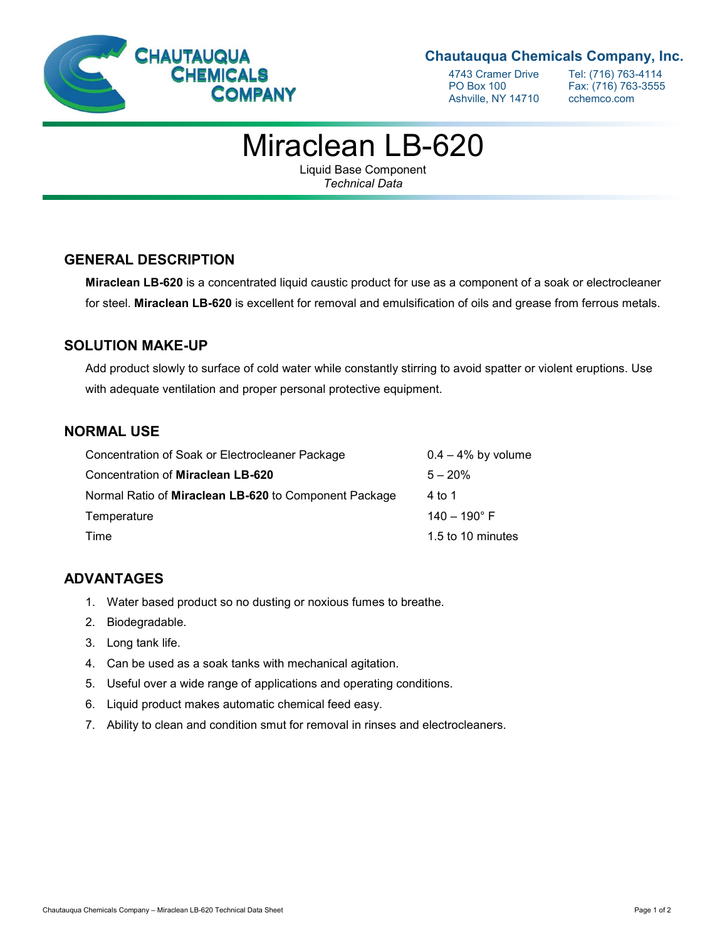

# **Chautauqua Chemicals Company, Inc.**

Ashville, NY 14710 cchemco.com

4743 Cramer Drive Tel: (716) 763-4114<br>PO Box 100 Fax: (716) 763-3555 Fax: (716) 763-3555

# Miraclean LB-620

Liquid Base Component *Technical Data*

### **GENERAL DESCRIPTION**

**Miraclean LB-620** is a concentrated liquid caustic product for use as a component of a soak or electrocleaner for steel. **Miraclean LB-620** is excellent for removal and emulsification of oils and grease from ferrous metals.

#### **SOLUTION MAKE-UP**

Add product slowly to surface of cold water while constantly stirring to avoid spatter or violent eruptions. Use with adequate ventilation and proper personal protective equipment.

### **NORMAL USE**

| Concentration of Soak or Electrocleaner Package       | $0.4 - 4\%$ by volume |
|-------------------------------------------------------|-----------------------|
| Concentration of Miraclean LB-620                     | $5 - 20%$             |
| Normal Ratio of Miraclean LB-620 to Component Package | 4 to 1                |
| Temperature                                           | $140 - 190^{\circ}$ F |
| Time                                                  | 1.5 to 10 minutes     |

### **ADVANTAGES**

- 1. Water based product so no dusting or noxious fumes to breathe.
- 2. Biodegradable.
- 3. Long tank life.
- 4. Can be used as a soak tanks with mechanical agitation.
- 5. Useful over a wide range of applications and operating conditions.
- 6. Liquid product makes automatic chemical feed easy.
- 7. Ability to clean and condition smut for removal in rinses and electrocleaners.